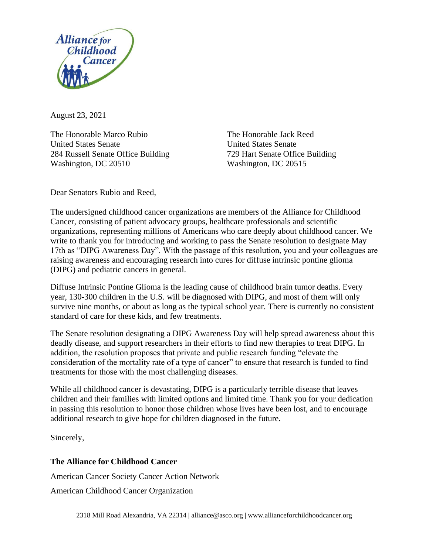

August 23, 2021

The Honorable Marco Rubio The Honorable Jack Reed United States Senate United States Senate 284 Russell Senate Office Building 729 Hart Senate Office Building Washington, DC 20510 Washington, DC 20515

Dear Senators Rubio and Reed,

The undersigned childhood cancer organizations are members of the Alliance for Childhood Cancer, consisting of patient advocacy groups, healthcare professionals and scientific organizations, representing millions of Americans who care deeply about childhood cancer. We write to thank you for introducing and working to pass the Senate resolution to designate May 17th as "DIPG Awareness Day". With the passage of this resolution, you and your colleagues are raising awareness and encouraging research into cures for diffuse intrinsic pontine glioma (DIPG) and pediatric cancers in general.

Diffuse Intrinsic Pontine Glioma is the leading cause of childhood brain tumor deaths. Every year, 130-300 children in the U.S. will be diagnosed with DIPG, and most of them will only survive nine months, or about as long as the typical school year. There is currently no consistent standard of care for these kids, and few treatments.

The Senate resolution designating a DIPG Awareness Day will help spread awareness about this deadly disease, and support researchers in their efforts to find new therapies to treat DIPG. In addition, the resolution proposes that private and public research funding "elevate the consideration of the mortality rate of a type of cancer" to ensure that research is funded to find treatments for those with the most challenging diseases.

While all childhood cancer is devastating, DIPG is a particularly terrible disease that leaves children and their families with limited options and limited time. Thank you for your dedication in passing this resolution to honor those children whose lives have been lost, and to encourage additional research to give hope for children diagnosed in the future.

Sincerely,

## **The Alliance for Childhood Cancer**

American Cancer Society Cancer Action Network

American Childhood Cancer Organization